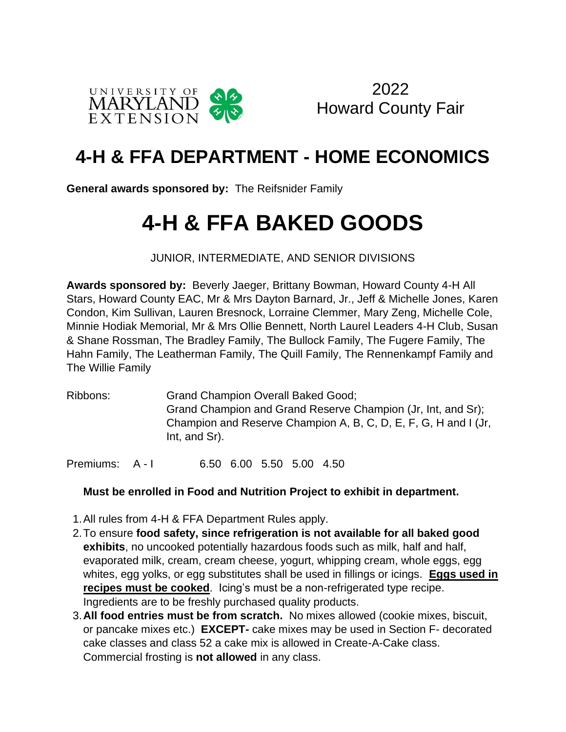

2022 Howard County Fair

# **4-H & FFA DEPARTMENT - HOME ECONOMICS**

**General awards sponsored by:** The Reifsnider Family

# **4-H & FFA BAKED GOODS**

JUNIOR, INTERMEDIATE, AND SENIOR DIVISIONS

**Awards sponsored by:** Beverly Jaeger, Brittany Bowman, Howard County 4-H All Stars, Howard County EAC, Mr & Mrs Dayton Barnard, Jr., Jeff & Michelle Jones, Karen Condon, Kim Sullivan, Lauren Bresnock, Lorraine Clemmer, Mary Zeng, Michelle Cole, Minnie Hodiak Memorial, Mr & Mrs Ollie Bennett, North Laurel Leaders 4-H Club, Susan & Shane Rossman, The Bradley Family, The Bullock Family, The Fugere Family, The Hahn Family, The Leatherman Family, The Quill Family, The Rennenkampf Family and The Willie Family

Ribbons: Grand Champion Overall Baked Good; Grand Champion and Grand Reserve Champion (Jr, Int, and Sr); Champion and Reserve Champion A, B, C, D, E, F, G, H and I (Jr, Int, and Sr).

Premiums: A - I 6.50 6.00 5.50 5.00 4.50

### **Must be enrolled in Food and Nutrition Project to exhibit in department.**

- 1.All rules from 4-H & FFA Department Rules apply.
- 2.To ensure **food safety, since refrigeration is not available for all baked good exhibits**, no uncooked potentially hazardous foods such as milk, half and half, evaporated milk, cream, cream cheese, yogurt, whipping cream, whole eggs, egg whites, egg yolks, or egg substitutes shall be used in fillings or icings. **Eggs used in recipes must be cooked**. Icing's must be a non-refrigerated type recipe. Ingredients are to be freshly purchased quality products.
- 3.**All food entries must be from scratch.** No mixes allowed (cookie mixes, biscuit, or pancake mixes etc.) **EXCEPT-** cake mixes may be used in Section F- decorated cake classes and class 52 a cake mix is allowed in Create-A-Cake class. Commercial frosting is **not allowed** in any class.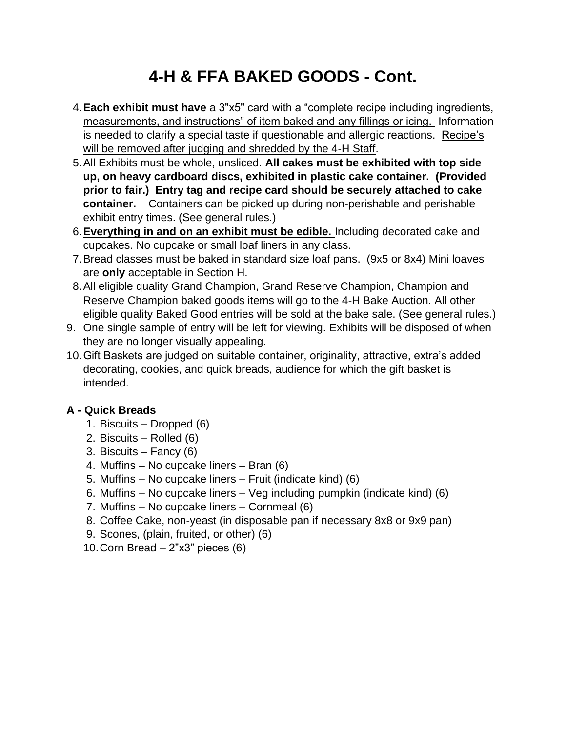- 4.**Each exhibit must have** a 3"x5" card with a "complete recipe including ingredients, measurements, and instructions" of item baked and any fillings or icing. Information is needed to clarify a special taste if questionable and allergic reactions.Recipe's will be removed after judging and shredded by the 4-H Staff.
- 5.All Exhibits must be whole, unsliced. **All cakes must be exhibited with top side up, on heavy cardboard discs, exhibited in plastic cake container. (Provided prior to fair.) Entry tag and recipe card should be securely attached to cake container.** Containers can be picked up during non-perishable and perishable exhibit entry times. (See general rules.)
- 6.**Everything in and on an exhibit must be edible.** Including decorated cake and cupcakes. No cupcake or small loaf liners in any class.
- 7.Bread classes must be baked in standard size loaf pans. (9x5 or 8x4) Mini loaves are **only** acceptable in Section H.
- 8.All eligible quality Grand Champion, Grand Reserve Champion, Champion and Reserve Champion baked goods items will go to the 4-H Bake Auction. All other eligible quality Baked Good entries will be sold at the bake sale. (See general rules.)
- 9. One single sample of entry will be left for viewing. Exhibits will be disposed of when they are no longer visually appealing.
- 10.Gift Baskets are judged on suitable container, originality, attractive, extra's added decorating, cookies, and quick breads, audience for which the gift basket is intended.

### **A - Quick Breads**

- 1. Biscuits Dropped (6)
- 2. Biscuits Rolled (6)
- 3. Biscuits Fancy (6)
- 4. Muffins No cupcake liners Bran (6)
- 5. Muffins No cupcake liners Fruit (indicate kind) (6)
- 6. Muffins No cupcake liners Veg including pumpkin (indicate kind) (6)
- 7. Muffins No cupcake liners Cornmeal (6)
- 8. Coffee Cake, non-yeast (in disposable pan if necessary 8x8 or 9x9 pan)
- 9. Scones, (plain, fruited, or other) (6)
- 10. Corn Bread  $-2$ "x3" pieces (6)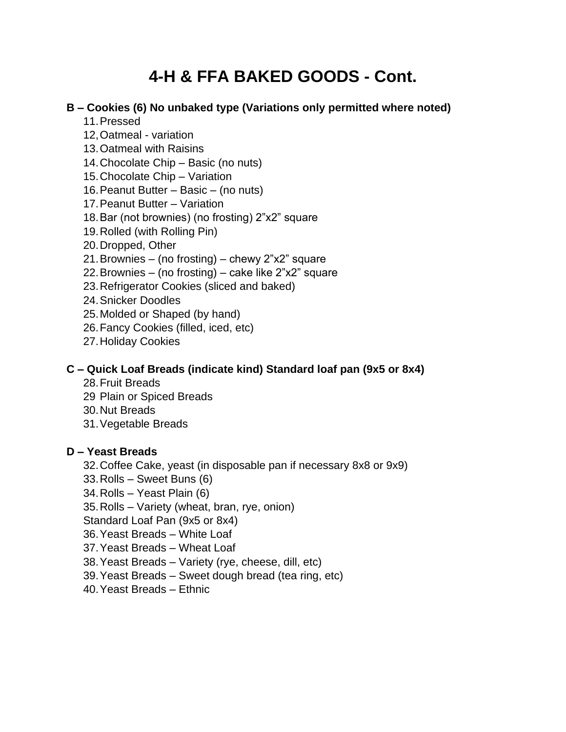#### **B – Cookies (6) No unbaked type (Variations only permitted where noted)**

- 11.Pressed
- 12,Oatmeal variation
- 13.Oatmeal with Raisins
- 14.Chocolate Chip Basic (no nuts)
- 15.Chocolate Chip Variation
- 16.Peanut Butter Basic (no nuts)
- 17.Peanut Butter Variation
- 18.Bar (not brownies) (no frosting) 2"x2" square
- 19.Rolled (with Rolling Pin)
- 20.Dropped, Other
- 21.Brownies (no frosting) chewy 2"x2" square
- 22.Brownies (no frosting) cake like 2"x2" square
- 23.Refrigerator Cookies (sliced and baked)
- 24.Snicker Doodles
- 25.Molded or Shaped (by hand)
- 26.Fancy Cookies (filled, iced, etc)
- 27.Holiday Cookies

#### **C – Quick Loaf Breads (indicate kind) Standard loaf pan (9x5 or 8x4)**

- 28.Fruit Breads
- 29 Plain or Spiced Breads
- 30.Nut Breads
- 31.Vegetable Breads

#### **D – Yeast Breads**

- 32.Coffee Cake, yeast (in disposable pan if necessary 8x8 or 9x9)
- 33.Rolls Sweet Buns (6)
- 34.Rolls Yeast Plain (6)
- 35.Rolls Variety (wheat, bran, rye, onion)
- Standard Loaf Pan (9x5 or 8x4)
- 36.Yeast Breads White Loaf
- 37.Yeast Breads Wheat Loaf
- 38.Yeast Breads Variety (rye, cheese, dill, etc)
- 39.Yeast Breads Sweet dough bread (tea ring, etc)
- 40.Yeast Breads Ethnic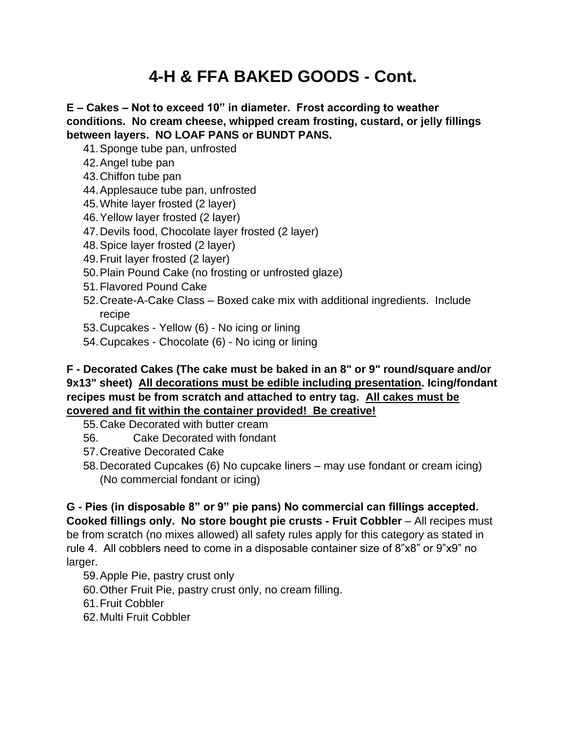**E – Cakes – Not to exceed 10" in diameter. Frost according to weather conditions. No cream cheese, whipped cream frosting, custard, or jelly fillings between layers. NO LOAF PANS or BUNDT PANS.**

- 41.Sponge tube pan, unfrosted
- 42.Angel tube pan
- 43.Chiffon tube pan
- 44.Applesauce tube pan, unfrosted
- 45.White layer frosted (2 layer)
- 46.Yellow layer frosted (2 layer)
- 47.Devils food, Chocolate layer frosted (2 layer)
- 48.Spice layer frosted (2 layer)
- 49.Fruit layer frosted (2 layer)
- 50.Plain Pound Cake (no frosting or unfrosted glaze)
- 51.Flavored Pound Cake
- 52.Create-A-Cake Class Boxed cake mix with additional ingredients. Include recipe
- 53.Cupcakes Yellow (6) No icing or lining
- 54.Cupcakes Chocolate (6) No icing or lining

#### **F - Decorated Cakes (The cake must be baked in an 8" or 9" round/square and/or 9x13" sheet) All decorations must be edible including presentation. Icing/fondant recipes must be from scratch and attached to entry tag. All cakes must be covered and fit within the container provided! Be creative!**

- 55.Cake Decorated with butter cream
- 56. Cake Decorated with fondant
- 57.Creative Decorated Cake
- 58.Decorated Cupcakes (6) No cupcake liners may use fondant or cream icing) (No commercial fondant or icing)

**G - Pies (in disposable 8" or 9" pie pans) No commercial can fillings accepted. Cooked fillings only. No store bought pie crusts - Fruit Cobbler** – All recipes must be from scratch (no mixes allowed) all safety rules apply for this category as stated in rule 4. All cobblers need to come in a disposable container size of 8"x8" or 9"x9" no larger.

- 59.Apple Pie, pastry crust only
- 60.Other Fruit Pie, pastry crust only, no cream filling.
- 61.Fruit Cobbler
- 62.Multi Fruit Cobbler